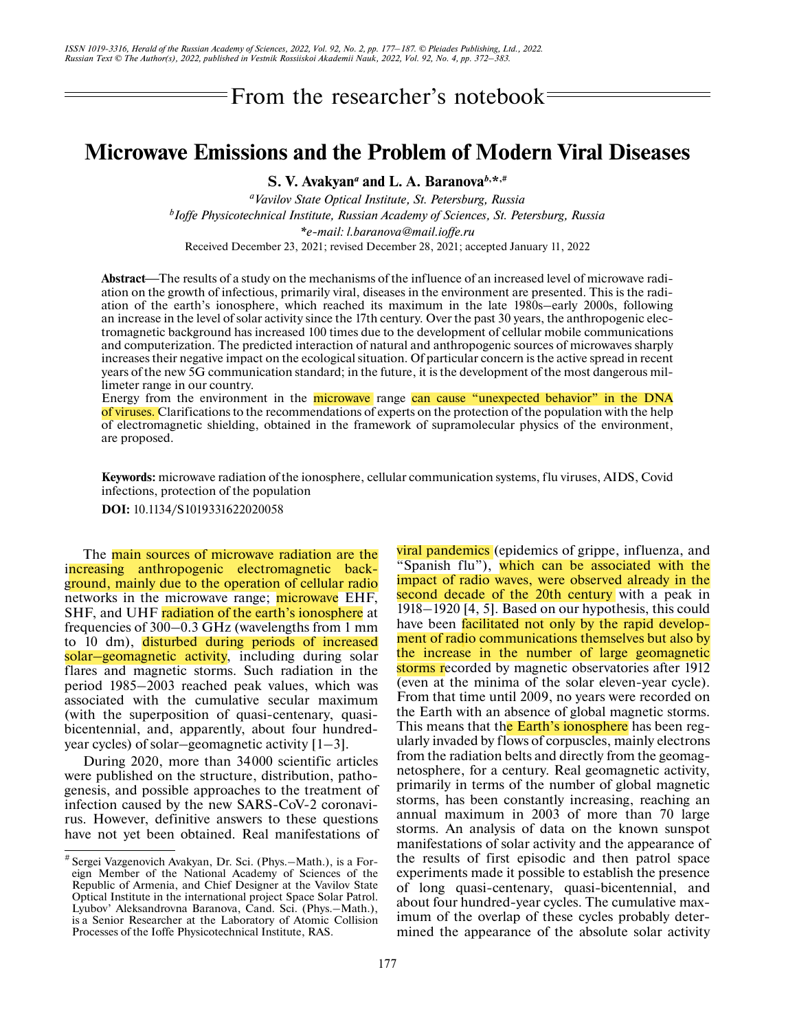From the researcher's notebook

## **Microwave Emissions and the Problem of Modern Viral Diseases**

**S. V. Avakyan***a* **and L. A. Baranova***b***, \*,#**

*aVavilov State Optical Institute, St. Petersburg, Russia b Ioffe Physicotechnical Institute, Russian Academy of Sciences, St. Petersburg, Russia \*e-mail: l.baranova@mail.ioffe.ru* Received December 23, 2021; revised December 28, 2021; accepted January 11, 2022

Abstract—The results of a study on the mechanisms of the influence of an increased level of microwave radiation on the growth of infectious, primarily viral, diseases in the environment are presented. This is the radiation of the earth's ionosphere, which reached its maximum in the late 1980s–early 2000s, following an increase in the level of solar activity since the 17th century. Over the past 30 years, the anthropogenic electromagnetic background has increased 100 times due to the development of cellular mobile communications and computerization. The predicted interaction of natural and anthropogenic sources of microwaves sharply increases their negative impact on the ecological situation. Of particular concern is the active spread in recent years of the new 5G communication standard; in the future, it is the development of the most dangerous millimeter range in our country.

Energy from the environment in the microwave range can cause "unexpected behavior" in the DNA of viruses. Clarifications to the recommendations of experts on the protection of the population with the help of electromagnetic shielding, obtained in the framework of supramolecular physics of the environment, are proposed.

**Keywords:** microwave radiation of the ionosphere, cellular communication systems, flu viruses, AIDS, Covid infections, protection of the population

**DOI:** 10.1134/S1019331622020058

The main sources of microwave radiation are the increasing anthropogenic electromagnetic background, mainly due to the operation of cellular radio networks in the microwave range; microwave EHF, SHF, and UHF radiation of the earth's ionosphere at frequencies of 300–0.3 GHz (wavelengths from 1 mm to 10 dm), disturbed during periods of increased solar–geomagnetic activity, including during solar flares and magnetic storms. Such radiation in the period 1985–2003 reached peak values, which was associated with the cumulative secular maximum (with the superposition of quasi-centenary, quasibicentennial, and, apparently, about four hundredyear cycles) of solar–geomagnetic activity [1–3].

During 2020, more than 34000 scientific articles were published on the structure, distribution, pathogenesis, and possible approaches to the treatment of infection caused by the new SARS-CoV-2 coronavirus. However, definitive answers to these questions have not yet been obtained. Real manifestations of

viral pandemics (epidemics of grippe, influenza, and "Spanish flu"), which can be associated with the impact of radio waves, were observed already in the second decade of the 20th century with a peak in 1918–1920 [4, 5]. Based on our hypothesis, this could have been facilitated not only by the rapid development of radio communications themselves but also by the increase in the number of large geomagnetic storms recorded by magnetic observatories after 1912 (even at the minima of the solar eleven-year cycle). From that time until 2009, no years were recorded on the Earth with an absence of global magnetic storms. This means that the Earth's ionosphere has been regularly invaded by flows of corpuscles, mainly electrons from the radiation belts and directly from the geomagnetosphere, for a century. Real geomagnetic activity, primarily in terms of the number of global magnetic storms, has been constantly increasing, reaching an annual maximum in 2003 of more than 70 large storms. An analysis of data on the known sunspot manifestations of solar activity and the appearance of the results of first episodic and then patrol space experiments made it possible to establish the presence of long quasi-centenary, quasi-bicentennial, and about four hundred-year cycles. The cumulative maximum of the overlap of these cycles probably determined the appearance of the absolute solar activity

<sup>#</sup> Sergei Vazgenovich Avakyan, Dr. Sci. (Phys.–Math.), is a Foreign Member of the National Academy of Sciences of the Republic of Armenia, and Chief Designer at the Vavilov State Optical Institute in the international project Space Solar Patrol. Lyubov' Aleksandrovna Baranova, Cand. Sci. (Phys.–Math.), is a Senior Researcher at the Laboratory of Atomic Collision Processes of the Ioffe Physicotechnical Institute, RAS.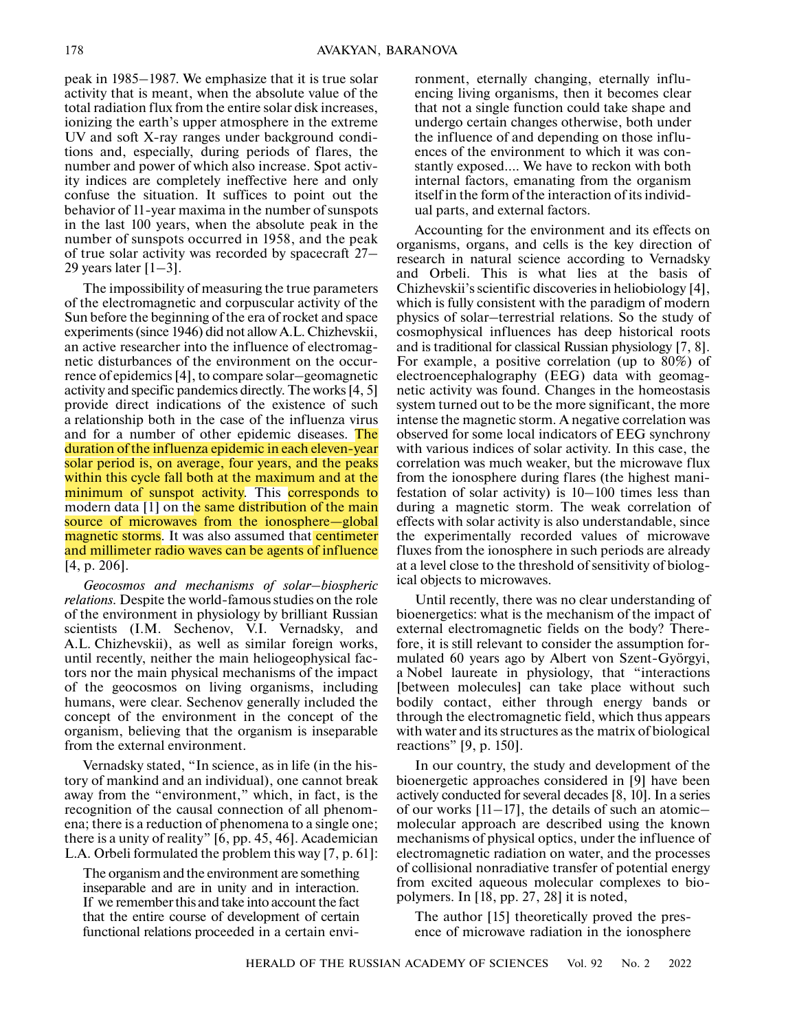peak in 1985–1987. We emphasize that it is true solar activity that is meant, when the absolute value of the total radiation flux from the entire solar disk increases, ionizing the earth's upper atmosphere in the extreme UV and soft X-ray ranges under background conditions and, especially, during periods of flares, the number and power of which also increase. Spot activity indices are completely ineffective here and only confuse the situation. It suffices to point out the behavior of 11-year maxima in the number of sunspots in the last 100 years, when the absolute peak in the number of sunspots occurred in 1958, and the peak of true solar activity was recorded by spacecraft 27– 29 years later  $[1-3]$ .

The impossibility of measuring the true parameters of the electromagnetic and corpuscular activity of the Sun before the beginning of the era of rocket and space experiments (since 1946) did not allow A.L. Chizhevskii, an active researcher into the influence of electromagnetic disturbances of the environment on the occurrence of epidemics [4], to compare solar–geomagnetic activity and specific pandemics directly. The works [4, 5] provide direct indications of the existence of such a relationship both in the case of the influenza virus and for a number of other epidemic diseases. The duration of the influenza epidemic in each eleven-year solar period is, on average, four years, and the peaks within this cycle fall both at the maximum and at the minimum of sunspot activity. This corresponds to modern data [1] on the same distribution of the main source of microwaves from the ionosphere—global magnetic storms. It was also assumed that centimeter and millimeter radio waves can be agents of influence [4, p. 206].

*Geocosmos and mechanisms of solar–biospheric relations.* Despite the world-famous studies on the role of the environment in physiology by brilliant Russian scientists (I.M. Sechenov, V.I. Vernadsky, and A.L. Chizhevskii), as well as similar foreign works, until recently, neither the main heliogeophysical factors nor the main physical mechanisms of the impact of the geocosmos on living organisms, including humans, were clear. Sechenov generally included the concept of the environment in the concept of the organism, believing that the organism is inseparable from the external environment.

Vernadsky stated, "In science, as in life (in the history of mankind and an individual), one cannot break away from the "environment," which, in fact, is the recognition of the causal connection of all phenomena; there is a reduction of phenomena to a single one; there is a unity of reality" [6, pp. 45, 46]. Academician L.A. Orbeli formulated the problem this way [7, p. 61]:

The organism and the environment are something inseparable and are in unity and in interaction. If we remember this and take into account the fact that the entire course of development of certain functional relations proceeded in a certain environment, eternally changing, eternally influencing living organisms, then it becomes clear that not a single function could take shape and undergo certain changes otherwise, both under the influence of and depending on those influences of the environment to which it was constantly exposed…. We have to reckon with both internal factors, emanating from the organism itself in the form of the interaction of its individual parts, and external factors.

Accounting for the environment and its effects on organisms, organs, and cells is the key direction of research in natural science according to Vernadsky and Orbeli. This is what lies at the basis of Chizhevskii's scientific discoveries in heliobiology [4], which is fully consistent with the paradigm of modern physics of solar–terrestrial relations. So the study of cosmophysical influences has deep historical roots and is traditional for classical Russian physiology [7, 8]. For example, a positive correlation (up to 80%) of electroencephalography (EEG) data with geomagnetic activity was found. Changes in the homeostasis system turned out to be the more significant, the more intense the magnetic storm. A negative correlation was observed for some local indicators of EEG synchrony with various indices of solar activity. In this case, the correlation was much weaker, but the microwave flux from the ionosphere during flares (the highest manifestation of solar activity) is 10–100 times less than during a magnetic storm. The weak correlation of effects with solar activity is also understandable, since the experimentally recorded values of microwave fluxes from the ionosphere in such periods are already at a level close to the threshold of sensitivity of biological objects to microwaves.

Until recently, there was no clear understanding of bioenergetics: what is the mechanism of the impact of external electromagnetic fields on the body? Therefore, it is still relevant to consider the assumption formulated 60 years ago by Albert von Szent-Györgyi, a Nobel laureate in physiology, that "interactions [between molecules] can take place without such bodily contact, either through energy bands or through the electromagnetic field, which thus appears with water and its structures as the matrix of biological reactions" [9, p. 150].

In our country, the study and development of the bioenergetic approaches considered in [9] have been actively conducted for several decades [8, 10]. In a series of our works  $[11-17]$ , the details of such an atomicmolecular approach are described using the known mechanisms of physical optics, under the influence of electromagnetic radiation on water, and the processes of collisional nonradiative transfer of potential energy from excited aqueous molecular complexes to biopolymers. In [18, pp. 27, 28] it is noted,

The author [15] theoretically proved the presence of microwave radiation in the ionosphere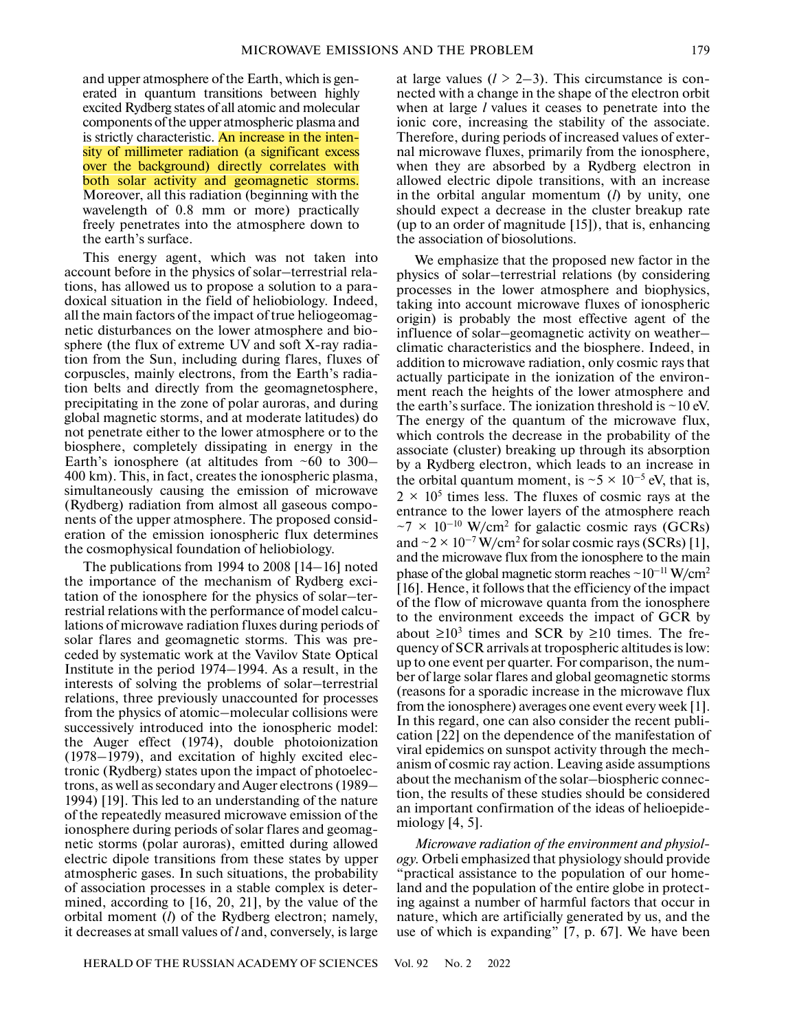and upper atmosphere of the Earth, which is generated in quantum transitions between highly excited Rydberg states of all atomic and molecular components of the upper atmospheric plasma and is strictly characteristic. An increase in the intensity of millimeter radiation (a significant excess over the background) directly correlates with both solar activity and geomagnetic storms. Moreover, all this radiation (beginning with the wavelength of 0.8 mm or more) practically freely penetrates into the atmosphere down to the earth's surface.

This energy agent, which was not taken into account before in the physics of solar–terrestrial relations, has allowed us to propose a solution to a paradoxical situation in the field of heliobiology. Indeed, all the main factors of the impact of true heliogeomagnetic disturbances on the lower atmosphere and biosphere (the flux of extreme UV and soft X-ray radiation from the Sun, including during flares, fluxes of corpuscles, mainly electrons, from the Earth's radiation belts and directly from the geomagnetosphere, precipitating in the zone of polar auroras, and during global magnetic storms, and at moderate latitudes) do not penetrate either to the lower atmosphere or to the biosphere, completely dissipating in energy in the Earth's ionosphere (at altitudes from  $~60$  to 300– 400 km). This, in fact, creates the ionospheric plasma, simultaneously causing the emission of microwave (Rydberg) radiation from almost all gaseous components of the upper atmosphere. The proposed consideration of the emission ionospheric flux determines the cosmophysical foundation of heliobiology.

The publications from 1994 to 2008 [14–16] noted the importance of the mechanism of Rydberg excitation of the ionosphere for the physics of solar–terrestrial relations with the performance of model calculations of microwave radiation fluxes during periods of solar flares and geomagnetic storms. This was preceded by systematic work at the Vavilov State Optical Institute in the period 1974–1994. As a result, in the interests of solving the problems of solar–terrestrial relations, three previously unaccounted for processes from the physics of atomic–molecular collisions were successively introduced into the ionospheric model: the Auger effect (1974), double photoionization (1978–1979), and excitation of highly excited electronic (Rydberg) states upon the impact of photoelectrons, as well as secondary and Auger electrons (1989– 1994) [19]. This led to an understanding of the nature of the repeatedly measured microwave emission of the ionosphere during periods of solar flares and geomagnetic storms (polar auroras), emitted during allowed electric dipole transitions from these states by upper atmospheric gases. In such situations, the probability of association processes in a stable complex is determined, according to [16, 20, 21], by the value of the orbital moment (*l*) of the Rydberg electron; namely, it decreases at small values of *l* and, conversely, is large at large values  $(l > 2-3)$ . This circumstance is connected with a change in the shape of the electron orbit when at large *l* values it ceases to penetrate into the ionic core, increasing the stability of the associate. Therefore, during periods of increased values of external microwave fluxes, primarily from the ionosphere, when they are absorbed by a Rydberg electron in allowed electric dipole transitions, with an increase in the orbital angular momentum (*l*) by unity, one should expect a decrease in the cluster breakup rate (up to an order of magnitude [15]), that is, enhancing the association of biosolutions.

We emphasize that the proposed new factor in the physics of solar–terrestrial relations (by considering processes in the lower atmosphere and biophysics, taking into account microwave fluxes of ionospheric origin) is probably the most effective agent of the influence of solar–geomagnetic activity on weather– climatic characteristics and the biosphere. Indeed, in addition to microwave radiation, only cosmic rays that actually participate in the ionization of the environment reach the heights of the lower atmosphere and the earth's surface. The ionization threshold is  $\sim$  10 eV. The energy of the quantum of the microwave flux, which controls the decrease in the probability of the associate (cluster) breaking up through its absorption by a Rydberg electron, which leads to an increase in the orbital quantum moment, is  $\sim$  5  $\times$  10<sup>-5</sup> eV, that is,  $2 \times 10^5$  times less. The fluxes of cosmic rays at the entrance to the lower layers of the atmosphere reach  $\sim$ 7 × 10<sup>-10</sup> W/cm<sup>2</sup> for galactic cosmic rays (GCRs) and  $\sim$  2  $\times$  10<sup>-7</sup> W/cm<sup>2</sup> for solar cosmic rays (SCRs) [1], and the microwave flux from the ionosphere to the main phase of the global magnetic storm reaches  $\sim 10^{-11}$  W/cm<sup>2</sup> [16]. Hence, it follows that the efficiency of the impact of the flow of microwave quanta from the ionosphere to the environment exceeds the impact of GCR by about ≥10<sup>3</sup> times and SCR by ≥10 times. The frequency of SCR arrivals at tropospheric altitudes is low: up to one event per quarter. For comparison, the number of large solar flares and global geomagnetic storms (reasons for a sporadic increase in the microwave flux from the ionosphere) averages one event every week [1]. In this regard, one can also consider the recent publication [22] on the dependence of the manifestation of viral epidemics on sunspot activity through the mechanism of cosmic ray action. Leaving aside assumptions about the mechanism of the solar–biospheric connection, the results of these studies should be considered an important confirmation of the ideas of helioepidemiology  $[4, 5]$ .

*Microwave radiation of the environment and physiology.* Orbeli emphasized that physiology should provide "practical assistance to the population of our homeland and the population of the entire globe in protecting against a number of harmful factors that occur in nature, which are artificially generated by us, and the use of which is expanding" [7, p. 67]. We have been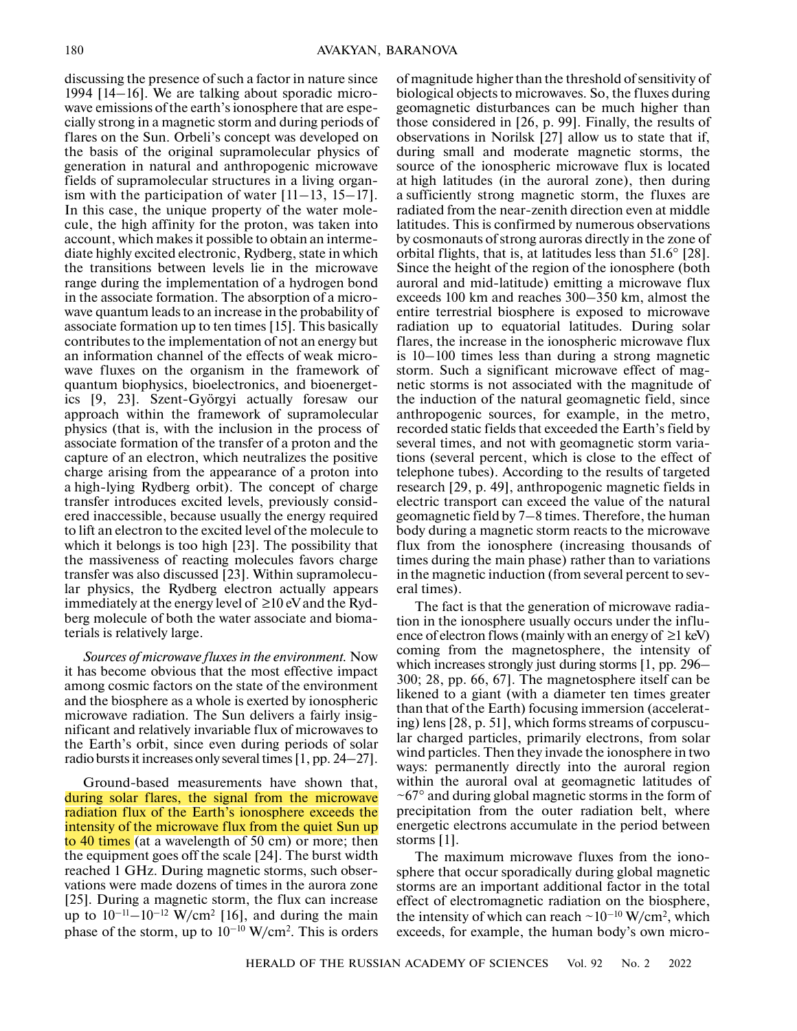discussing the presence of such a factor in nature since 1994 [14–16]. We are talking about sporadic microwave emissions of the earth's ionosphere that are especially strong in a magnetic storm and during periods of flares on the Sun. Orbeli's concept was developed on the basis of the original supramolecular physics of generation in natural and anthropogenic microwave fields of supramolecular structures in a living organism with the participation of water  $[11-13, 15-17]$ . In this case, the unique property of the water molecule, the high affinity for the proton, was taken into account, which makes it possible to obtain an intermediate highly excited electronic, Rydberg, state in which the transitions between levels lie in the microwave range during the implementation of a hydrogen bond in the associate formation. The absorption of a microwave quantum leads to an increase in the probability of associate formation up to ten times [15]. This basically contributes to the implementation of not an energy but an information channel of the effects of weak microwave fluxes on the organism in the framework of quantum biophysics, bioelectronics, and bioenergetics [9, 23]. Szent-Györgyi actually foresaw our approach within the framework of supramolecular physics (that is, with the inclusion in the process of associate formation of the transfer of a proton and the capture of an electron, which neutralizes the positive charge arising from the appearance of a proton into a high-lying Rydberg orbit). The concept of charge transfer introduces excited levels, previously considered inaccessible, because usually the energy required to lift an electron to the excited level of the molecule to which it belongs is too high [23]. The possibility that the massiveness of reacting molecules favors charge transfer was also discussed [23]. Within supramolecular physics, the Rydberg electron actually appears immediately at the energy level of  $\geq 10$  eV and the Rydberg molecule of both the water associate and biomaterials is relatively large.

*Sources of microwave fluxes in the environment.* Now it has become obvious that the most effective impact among cosmic factors on the state of the environment and the biosphere as a whole is exerted by ionospheric microwave radiation. The Sun delivers a fairly insignificant and relatively invariable flux of microwaves to the Earth's orbit, since even during periods of solar radio bursts it increases only several times [1, pp. 24–27].

Ground-based measurements have shown that, during solar flares, the signal from the microwave radiation flux of the Earth's ionosphere exceeds the intensity of the microwave flux from the quiet Sun up to 40 times (at a wavelength of 50 cm) or more; then the equipment goes off the scale [24]. The burst width reached 1 GHz. During magnetic storms, such observations were made dozens of times in the aurora zone [25]. During a magnetic storm, the flux can increase up to  $10^{-11} - 10^{-12}$  W/cm<sup>2</sup> [16], and during the main phase of the storm, up to  $10^{-10}$  W/cm<sup>2</sup>. This is orders

of magnitude higher than the threshold of sensitivity of biological objects to microwaves. So, the fluxes during geomagnetic disturbances can be much higher than those considered in [26, p. 99]. Finally, the results of observations in Norilsk [27] allow us to state that if, during small and moderate magnetic storms, the source of the ionospheric microwave flux is located at high latitudes (in the auroral zone), then during a sufficiently strong magnetic storm, the fluxes are radiated from the near-zenith direction even at middle latitudes. This is confirmed by numerous observations by cosmonauts of strong auroras directly in the zone of orbital flights, that is, at latitudes less than 51.6° [28]. Since the height of the region of the ionosphere (both auroral and mid-latitude) emitting a microwave flux exceeds 100 km and reaches 300–350 km, almost the entire terrestrial biosphere is exposed to microwave radiation up to equatorial latitudes. During solar flares, the increase in the ionospheric microwave flux is 10–100 times less than during a strong magnetic storm. Such a significant microwave effect of magnetic storms is not associated with the magnitude of the induction of the natural geomagnetic field, since anthropogenic sources, for example, in the metro, recorded static fields that exceeded the Earth's field by several times, and not with geomagnetic storm variations (several percent, which is close to the effect of telephone tubes). According to the results of targeted research [29, p. 49], anthropogenic magnetic fields in electric transport can exceed the value of the natural geomagnetic field by 7–8 times. Therefore, the human body during a magnetic storm reacts to the microwave flux from the ionosphere (increasing thousands of times during the main phase) rather than to variations in the magnetic induction (from several percent to several times).

The fact is that the generation of microwave radiation in the ionosphere usually occurs under the influence of electron flows (mainly with an energy of  $\geq 1$  keV) coming from the magnetosphere, the intensity of which increases strongly just during storms [1, pp. 296– 300; 28, pp. 66, 67]. The magnetosphere itself can be likened to a giant (with a diameter ten times greater than that of the Earth) focusing immersion (accelerating) lens [28, p. 51], which forms streams of corpuscular charged particles, primarily electrons, from solar wind particles. Then they invade the ionosphere in two ways: permanently directly into the auroral region within the auroral oval at geomagnetic latitudes of  $\sim 67^{\circ}$  and during global magnetic storms in the form of precipitation from the outer radiation belt, where energetic electrons accumulate in the period between storms [1].

The maximum microwave fluxes from the ionosphere that occur sporadically during global magnetic storms are an important additional factor in the total effect of electromagnetic radiation on the biosphere, the intensity of which can reach  $\sim 10^{-10}$  W/cm<sup>2</sup>, which exceeds, for example, the human body's own micro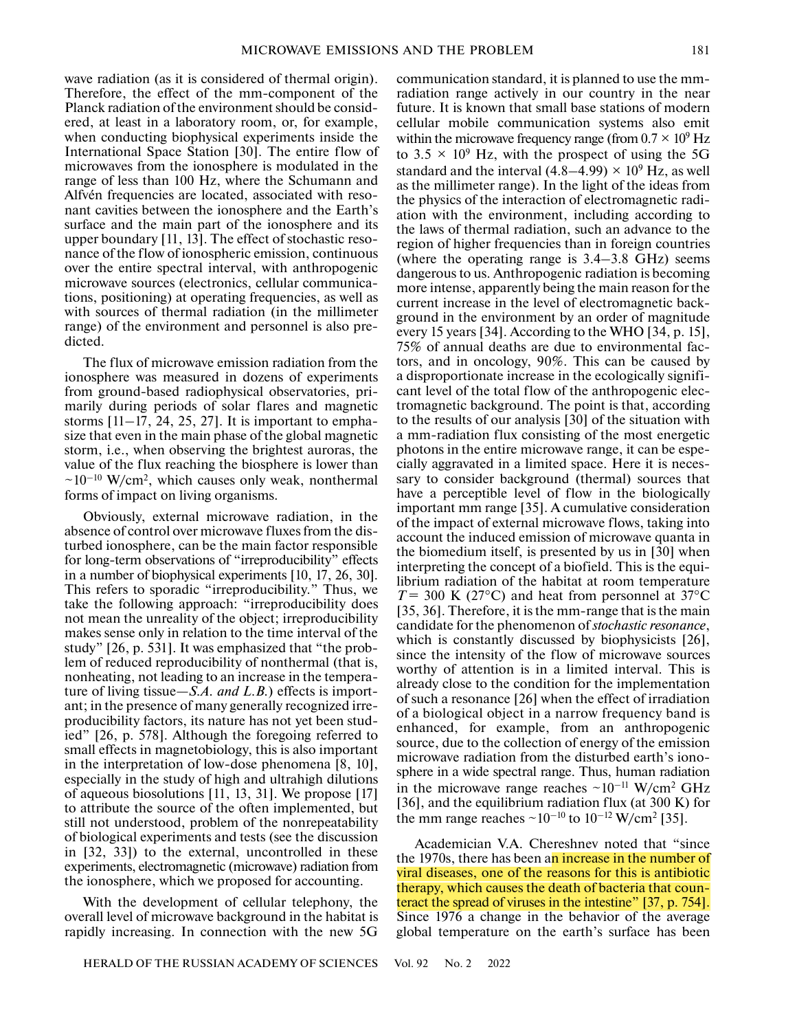wave radiation (as it is considered of thermal origin). Therefore, the effect of the mm-component of the Planck radiation of the environment should be considered, at least in a laboratory room, or, for example, when conducting biophysical experiments inside the International Space Station [30]. The entire flow of microwaves from the ionosphere is modulated in the range of less than 100 Hz, where the Schumann and Alfvén frequencies are located, associated with resonant cavities between the ionosphere and the Earth's surface and the main part of the ionosphere and its upper boundary [11, 13]. The effect of stochastic resonance of the flow of ionospheric emission, continuous over the entire spectral interval, with anthropogenic microwave sources (electronics, cellular communications, positioning) at operating frequencies, as well as with sources of thermal radiation (in the millimeter range) of the environment and personnel is also predicted.

The flux of microwave emission radiation from the ionosphere was measured in dozens of experiments from ground-based radiophysical observatories, primarily during periods of solar flares and magnetic storms  $[11-17, 24, 25, 27]$ . It is important to emphasize that even in the main phase of the global magnetic storm, i.e., when observing the brightest auroras, the value of the flux reaching the biosphere is lower than  $\sim 10^{-10}$  W/cm<sup>2</sup>, which causes only weak, nonthermal forms of impact on living organisms.

Obviously, external microwave radiation, in the absence of control over microwave fluxes from the disturbed ionosphere, can be the main factor responsible for long-term observations of "irreproducibility" effects in a number of biophysical experiments [10, 17, 26, 30]. This refers to sporadic "irreproducibility." Thus, we take the following approach: "irreproducibility does not mean the unreality of the object; irreproducibility makes sense only in relation to the time interval of the study" [26, p. 531]. It was emphasized that "the problem of reduced reproducibility of nonthermal (that is, nonheating, not leading to an increase in the temperature of living tissue—*S.A. and L.B.*) effects is important; in the presence of many generally recognized irreproducibility factors, its nature has not yet been studied" [26, p. 578]. Although the foregoing referred to small effects in magnetobiology, this is also important in the interpretation of low-dose phenomena [8, 10], especially in the study of high and ultrahigh dilutions of aqueous biosolutions [11, 13, 31]. We propose [17] to attribute the source of the often implemented, but still not understood, problem of the nonrepeatability of biological experiments and tests (see the discussion in [32, 33]) to the external, uncontrolled in these experiments, electromagnetic (microwave) radiation from the ionosphere, which we proposed for accounting.

With the development of cellular telephony, the overall level of microwave background in the habitat is rapidly increasing. In connection with the new 5G communication standard, it is planned to use the mmradiation range actively in our country in the near future. It is known that small base stations of modern cellular mobile communication systems also emit within the microwave frequency range (from  $0.7 \times 10^9$  Hz to  $3.5 \times 10^9$  Hz, with the prospect of using the 5G standard and the interval  $(4.8-4.99) \times 10^9$  Hz, as well as the millimeter range). In the light of the ideas from the physics of the interaction of electromagnetic radiation with the environment, including according to the laws of thermal radiation, such an advance to the region of higher frequencies than in foreign countries (where the operating range is 3.4–3.8 GHz) seems dangerous to us. Anthropogenic radiation is becoming more intense, apparently being the main reason for the current increase in the level of electromagnetic background in the environment by an order of magnitude every 15 years [34]. According to the WHO [34, p. 15], 75% of annual deaths are due to environmental factors, and in oncology, 90%. This can be caused by a disproportionate increase in the ecologically significant level of the total flow of the anthropogenic electromagnetic background. The point is that, according to the results of our analysis [30] of the situation with a mm-radiation flux consisting of the most energetic photons in the entire microwave range, it can be especially aggravated in a limited space. Here it is necessary to consider background (thermal) sources that have a perceptible level of flow in the biologically important mm range [35]. A cumulative consideration of the impact of external microwave flows, taking into account the induced emission of microwave quanta in the biomedium itself, is presented by us in [30] when interpreting the concept of a biofield. This is the equilibrium radiation of the habitat at room temperature  $T = 300$  K (27<sup>o</sup>C) and heat from personnel at 37<sup>o</sup>C [35, 36]. Therefore, it is the mm-range that is the main candidate for the phenomenon of *stochastic resonance*, which is constantly discussed by biophysicists [26], since the intensity of the flow of microwave sources worthy of attention is in a limited interval. This is already close to the condition for the implementation of such a resonance [26] when the effect of irradiation of a biological object in a narrow frequency band is enhanced, for example, from an anthropogenic source, due to the collection of energy of the emission microwave radiation from the disturbed earth's ionosphere in a wide spectral range. Thus, human radiation in the microwave range reaches  $\sim 10^{-11}$  W/cm<sup>2</sup> GHz [36], and the equilibrium radiation flux (at 300 K) for the mm range reaches  $\sim 10^{-10}$  to  $10^{-12}$  W/cm<sup>2</sup> [35].

Academician V.A. Chereshnev noted that "since the 1970s, there has been an increase in the number of viral diseases, one of the reasons for this is antibiotic therapy, which causes the death of bacteria that counteract the spread of viruses in the intestine" [37, p. 754]. Since 1976 a change in the behavior of the average global temperature on the earth's surface has been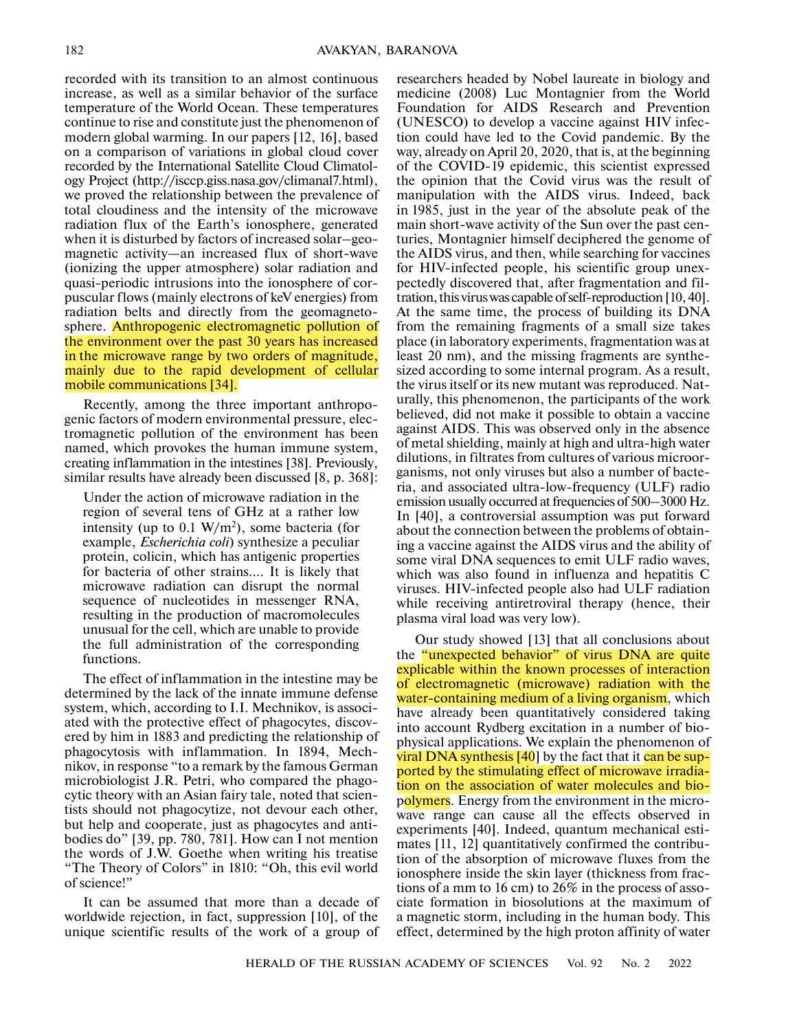recorded with its transition to an almost continuous increase, as well as a similar behavior of the surface temperature of the World Ocean. These temperatures continue to rise and constitute just the phenomenon of modern global warming. In our papers [12, 16], based on a comparison of variations in global cloud cover recorded by the International Satellite Cloud Climatology Project (http://isccp.giss.nasa.gov/climanal7.html), we proved the relationship between the prevalence of total cloudiness and the intensity of the microwave radiation flux of the Earth's ionosphere, generated when it is disturbed by factors of increased solar–geomagnetic activity—an increased flux of short-wave (ionizing the upper atmosphere) solar radiation and quasi-periodic intrusions into the ionosphere of corpuscular flows (mainly electrons of keV energies) from radiation belts and directly from the geomagnetosphere. Anthropogenic electromagnetic pollution of the environment over the past 30 years has increased in the microwave range by two orders of magnitude, mainly due to the rapid development of cellular mobile communications [34].

Recently, among the three important anthropogenic factors of modern environmental pressure, electromagnetic pollution of the environment has been named, which provokes the human immune system, creating inflammation in the intestines [38]. Previously, similar results have already been discussed [8, p. 368]:

Under the action of microwave radiation in the region of several tens of GHz at a rather low intensity (up to  $0.1 \text{ W/m}^2$ ), some bacteria (for example, *Escherichia coli*) synthesize a peculiar protein, colicin, which has antigenic properties for bacteria of other strains.… It is likely that microwave radiation can disrupt the normal sequence of nucleotides in messenger RNA, resulting in the production of macromolecules unusual for the cell, which are unable to provide the full administration of the corresponding functions.

The effect of inflammation in the intestine may be determined by the lack of the innate immune defense system, which, according to I.I. Mechnikov, is associated with the protective effect of phagocytes, discovered by him in 1883 and predicting the relationship of phagocytosis with inflammation. In 1894, Mechnikov, in response "to a remark by the famous German microbiologist J.R. Petri, who compared the phagocytic theory with an Asian fairy tale, noted that scientists should not phagocytize, not devour each other, but help and cooperate, just as phagocytes and antibodies do" [39, pp. 780, 781]. How can I not mention the words of J.W. Goethe when writing his treatise "The Theory of Colors" in 1810: "Oh, this evil world of science!"

It can be assumed that more than a decade of worldwide rejection, in fact, suppression [10], of the unique scientific results of the work of a group of

researchers headed by Nobel laureate in biology and medicine (2008) Luc Montagnier from the World Foundation for AIDS Research and Prevention (UNESCO) to develop a vaccine against HIV infection could have led to the Covid pandemic. By the way, already on April 20, 2020, that is, at the beginning of the COVID-19 epidemic, this scientist expressed the opinion that the Covid virus was the result of manipulation with the AIDS virus. Indeed, back in 1985, just in the year of the absolute peak of the main short-wave activity of the Sun over the past centuries, Montagnier himself deciphered the genome of the AIDS virus, and then, while searching for vaccines for HIV-infected people, his scientific group unexpectedly discovered that, after fragmentation and filtration, this virus was capable of self-reproduction [10, 40]. At the same time, the process of building its DNA from the remaining fragments of a small size takes place (in laboratory experiments, fragmentation was at least 20 nm), and the missing fragments are synthesized according to some internal program. As a result, the virus itself or its new mutant was reproduced. Naturally, this phenomenon, the participants of the work believed, did not make it possible to obtain a vaccine against AIDS. This was observed only in the absence of metal shielding, mainly at high and ultra-high water dilutions, in filtrates from cultures of various microorganisms, not only viruses but also a number of bacteria, and associated ultra-low-frequency (ULF) radio emission usually occurred at frequencies of 500–3000 Hz. In [40], a controversial assumption was put forward about the connection between the problems of obtaining a vaccine against the AIDS virus and the ability of some viral DNA sequences to emit ULF radio waves, which was also found in influenza and hepatitis C viruses. HIV-infected people also had ULF radiation while receiving antiretroviral therapy (hence, their plasma viral load was very low).

Our study showed [13] that all conclusions about the "unexpected behavior" of virus DNA are quite explicable within the known processes of interaction of electromagnetic (microwave) radiation with the water-containing medium of a living organism, which have already been quantitatively considered taking into account Rydberg excitation in a number of biophysical applications. We explain the phenomenon of viral DNA synthesis  $[40]$  by the fact that it can be supported by the stimulating effect of microwave irradiation on the association of water molecules and biopolymers. Energy from the environment in the microwave range can cause all the effects observed in experiments [40]. Indeed, quantum mechanical estimates [11, 12] quantitatively confirmed the contribution of the absorption of microwave fluxes from the ionosphere inside the skin layer (thickness from fractions of a mm to 16 cm) to 26% in the process of associate formation in biosolutions at the maximum of a magnetic storm, including in the human body. This effect, determined by the high proton affinity of water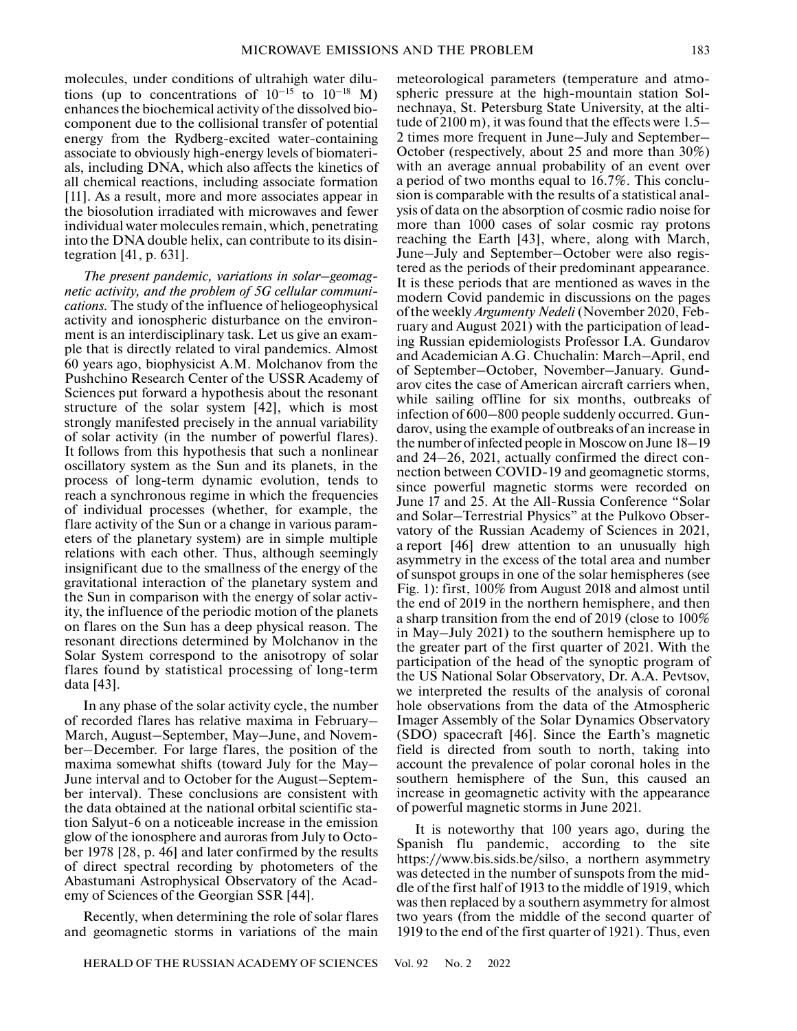molecules, under conditions of ultrahigh water dilutions (up to concentrations of  $10^{-15}$  to  $10^{-18}$  M) enhances the biochemical activity of the dissolved biocomponent due to the collisional transfer of potential energy from the Rydberg-excited water-containing associate to obviously high-energy levels of biomaterials, including DNA, which also affects the kinetics of all chemical reactions, including associate formation [11]. As a result, more and more associates appear in the biosolution irradiated with microwaves and fewer individual water molecules remain, which, penetrating into the DNA double helix, can contribute to its disintegration [41, p. 631].

*The present pandemic, variations in solar–geomagnetic activity, and the problem of 5G cellular communications.* The study of the influence of heliogeophysical activity and ionospheric disturbance on the environment is an interdisciplinary task. Let us give an example that is directly related to viral pandemics. Almost 60 years ago, biophysicist A.M. Molchanov from the Pushchino Research Center of the USSR Academy of Sciences put forward a hypothesis about the resonant structure of the solar system [42], which is most strongly manifested precisely in the annual variability of solar activity (in the number of powerful flares). It follows from this hypothesis that such a nonlinear oscillatory system as the Sun and its planets, in the process of long-term dynamic evolution, tends to reach a synchronous regime in which the frequencies of individual processes (whether, for example, the flare activity of the Sun or a change in various parameters of the planetary system) are in simple multiple relations with each other. Thus, although seemingly insignificant due to the smallness of the energy of the gravitational interaction of the planetary system and the Sun in comparison with the energy of solar activity, the influence of the periodic motion of the planets on flares on the Sun has a deep physical reason. The resonant directions determined by Molchanov in the Solar System correspond to the anisotropy of solar flares found by statistical processing of long-term data [43].

In any phase of the solar activity cycle, the number of recorded flares has relative maxima in February– March, August–September, May–June, and November–December. For large flares, the position of the maxima somewhat shifts (toward July for the May– June interval and to October for the August–September interval). These conclusions are consistent with the data obtained at the national orbital scientific station Salyut-6 on a noticeable increase in the emission glow of the ionosphere and auroras from July to October 1978 [28, p. 46] and later confirmed by the results of direct spectral recording by photometers of the Abastumani Astrophysical Observatory of the Academy of Sciences of the Georgian SSR [44].

Recently, when determining the role of solar flares and geomagnetic storms in variations of the main

meteorological parameters (temperature and atmospheric pressure at the high-mountain station Solnechnaya, St. Petersburg State University, at the altitude of 2100 m), it was found that the effects were 1.5– 2 times more frequent in June–July and September– October (respectively, about 25 and more than 30%) with an average annual probability of an event over a period of two months equal to 16.7%. This conclusion is comparable with the results of a statistical analysis of data on the absorption of cosmic radio noise for more than 1000 cases of solar cosmic ray protons reaching the Earth [43], where, along with March, June–July and September–October were also registered as the periods of their predominant appearance. It is these periods that are mentioned as waves in the modern Covid pandemic in discussions on the pages of the weekly *Argumenty Nedeli* (November 2020, February and August 2021) with the participation of leading Russian epidemiologists Professor I.A. Gundarov and Academician A.G. Chuchalin: March–April, end of September–October, November–January. Gundarov cites the case of American aircraft carriers when, while sailing offline for six months, outbreaks of infection of 600–800 people suddenly occurred. Gundarov, using the example of outbreaks of an increase in the number of infected people in Moscow on June 18–19 and 24–26, 2021, actually confirmed the direct connection between COVID-19 and geomagnetic storms, since powerful magnetic storms were recorded on June 17 and 25. At the All-Russia Conference "Solar and Solar–Terrestrial Physics" at the Pulkovo Observatory of the Russian Academy of Sciences in 2021, a report [46] drew attention to an unusually high asymmetry in the excess of the total area and number of sunspot groups in one of the solar hemispheres (see Fig. 1): first, 100% from August 2018 and almost until the end of 2019 in the northern hemisphere, and then a sharp transition from the end of 2019 (close to 100% in May–July 2021) to the southern hemisphere up to the greater part of the first quarter of 2021. With the participation of the head of the synoptic program of the US National Solar Observatory, Dr. A.A. Pevtsov, we interpreted the results of the analysis of coronal hole observations from the data of the Atmospheric Imager Assembly of the Solar Dynamics Observatory (SDO) spacecraft [46]. Since the Earth's magnetic field is directed from south to north, taking into account the prevalence of polar coronal holes in the southern hemisphere of the Sun, this caused an increase in geomagnetic activity with the appearance of powerful magnetic storms in June 2021.

It is noteworthy that 100 years ago, during the Spanish flu pandemic, according to the site https://www.bis.sids.be/silso, a northern asymmetry was detected in the number of sunspots from the middle of the first half of 1913 to the middle of 1919, which was then replaced by a southern asymmetry for almost two years (from the middle of the second quarter of 1919 to the end of the first quarter of 1921). Thus, even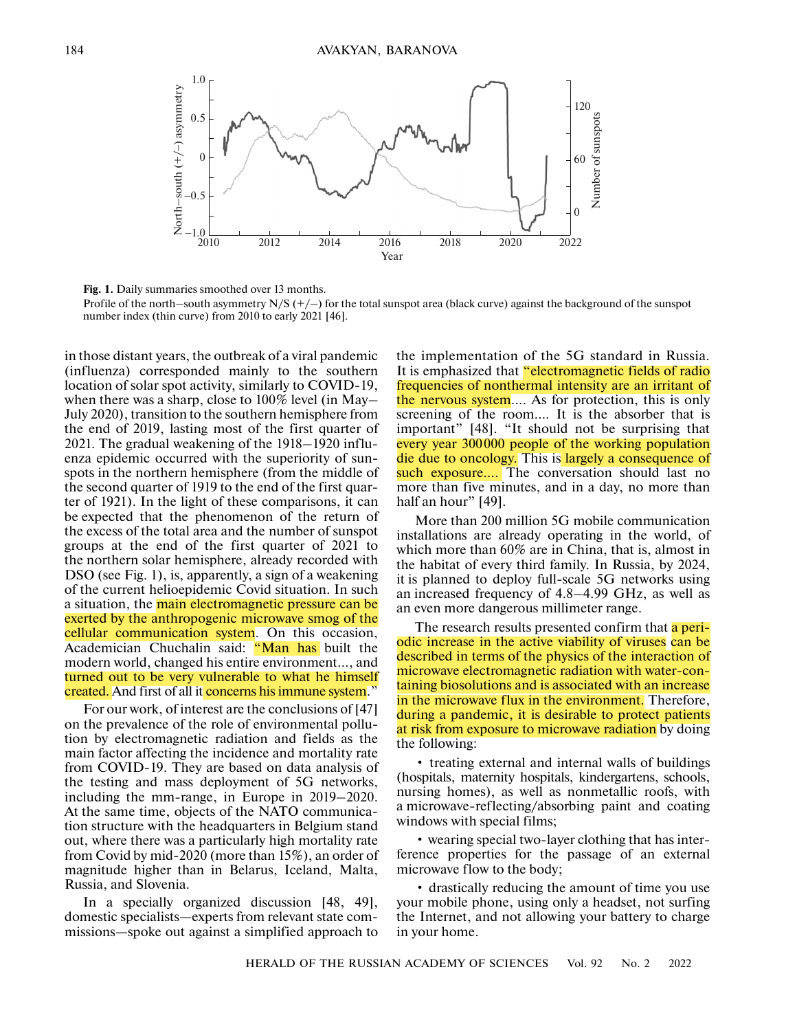

Fig. 1. Daily summaries smoothed over 13 months.

Profile of the north–south asymmetry  $N/S$  ( $+/-$ ) for the total sunspot area (black curve) against the background of the sunspot number index (thin curve) from 2010 to early 2021 [46].

in those distant years, the outbreak of a viral pandemic (influenza) corresponded mainly to the southern location of solar spot activity, similarly to COVID-19, when there was a sharp, close to 100% level (in May– July 2020), transition to the southern hemisphere from the end of 2019, lasting most of the first quarter of 2021. The gradual weakening of the 1918–1920 influenza epidemic occurred with the superiority of sunspots in the northern hemisphere (from the middle of the second quarter of 1919 to the end of the first quarter of 1921). In the light of these comparisons, it can be expected that the phenomenon of the return of the excess of the total area and the number of sunspot groups at the end of the first quarter of 2021 to the northern solar hemisphere, already recorded with DSO (see Fig. 1), is, apparently, a sign of a weakening of the current helioepidemic Covid situation. In such a situation, the main electromagnetic pressure can be exerted by the anthropogenic microwave smog of the cellular communication system. On this occasion, Academician Chuchalin said: "Man has built the modern world, changed his entire environment…, and turned out to be very vulnerable to what he himself created. And first of all it concerns his immune system."

For our work, of interest are the conclusions of [47] on the prevalence of the role of environmental pollution by electromagnetic radiation and fields as the main factor affecting the incidence and mortality rate from COVID-19. They are based on data analysis of the testing and mass deployment of 5G networks, including the mm-range, in Europe in 2019–2020. At the same time, objects of the NATO communication structure with the headquarters in Belgium stand out, where there was a particularly high mortality rate from Covid by mid-2020 (more than 15%), an order of magnitude higher than in Belarus, Iceland, Malta, Russia, and Slovenia.

In a specially organized discussion [48, 49], domestic specialists—experts from relevant state commissions—spoke out against a simplified approach to the implementation of the 5G standard in Russia. It is emphasized that "electromagnetic fields of radio frequencies of nonthermal intensity are an irritant of the nervous system…. As for protection, this is only screening of the room…. It is the absorber that is important" [48]. "It should not be surprising that every year 300000 people of the working population die due to oncology. This is largely a consequence of such exposure.... The conversation should last no more than five minutes, and in a day, no more than half an hour" [49].

More than 200 million 5G mobile communication installations are already operating in the world, of which more than 60% are in China, that is, almost in the habitat of every third family. In Russia, by 2024, it is planned to deploy full-scale 5G networks using an increased frequency of 4.8–4.99 GHz, as well as an even more dangerous millimeter range.

The research results presented confirm that a periodic increase in the active viability of viruses can be described in terms of the physics of the interaction of microwave electromagnetic radiation with water-containing biosolutions and is associated with an increase in the microwave flux in the environment. Therefore, during a pandemic, it is desirable to protect patients at risk from exposure to microwave radiation by doing the following:

• treating external and internal walls of buildings (hospitals, maternity hospitals, kindergartens, schools, nursing homes), as well as nonmetallic roofs, with a microwave-reflecting/absorbing paint and coating windows with special films;

• wearing special two-layer clothing that has interference properties for the passage of an external microwave flow to the body;

• drastically reducing the amount of time you use your mobile phone, using only a headset, not surfing the Internet, and not allowing your battery to charge in your home.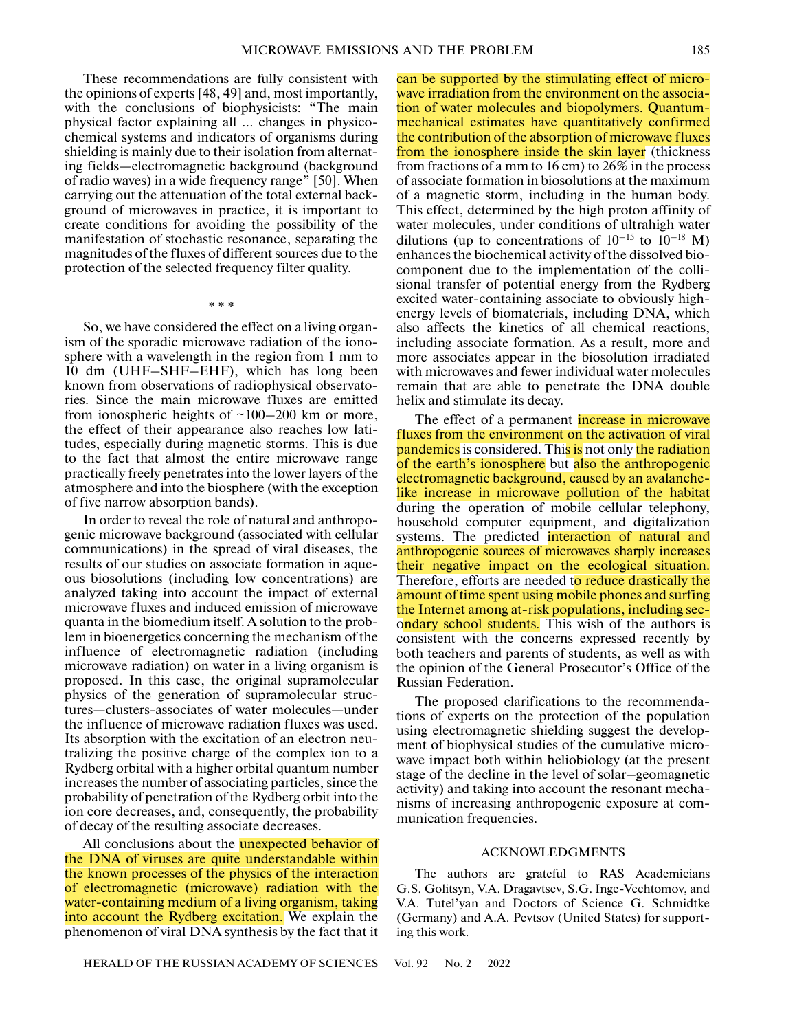These recommendations are fully consistent with the opinions of experts [48, 49] and, most importantly, with the conclusions of biophysicists: "The main physical factor explaining all … changes in physicochemical systems and indicators of organisms during shielding is mainly due to their isolation from alternating fields—electromagnetic background (background of radio waves) in a wide frequency range" [50]. When carrying out the attenuation of the total external background of microwaves in practice, it is important to create conditions for avoiding the possibility of the manifestation of stochastic resonance, separating the magnitudes of the fluxes of different sources due to the protection of the selected frequency filter quality.

So, we have considered the effect on a living organism of the sporadic microwave radiation of the ionosphere with a wavelength in the region from 1 mm to 10 dm (UHF–SHF–EHF), which has long been known from observations of radiophysical observatories. Since the main microwave fluxes are emitted from ionospheric heights of  $\sim$ 100–200 km or more, the effect of their appearance also reaches low latitudes, especially during magnetic storms. This is due to the fact that almost the entire microwave range practically freely penetrates into the lower layers of the atmosphere and into the biosphere (with the exception of five narrow absorption bands).

\* \* \*

In order to reveal the role of natural and anthropogenic microwave background (associated with cellular communications) in the spread of viral diseases, the results of our studies on associate formation in aqueous biosolutions (including low concentrations) are analyzed taking into account the impact of external microwave fluxes and induced emission of microwave quanta in the biomedium itself. A solution to the problem in bioenergetics concerning the mechanism of the influence of electromagnetic radiation (including microwave radiation) on water in a living organism is proposed. In this case, the original supramolecular physics of the generation of supramolecular structures—clusters-associates of water molecules—under the influence of microwave radiation fluxes was used. Its absorption with the excitation of an electron neutralizing the positive charge of the complex ion to a Rydberg orbital with a higher orbital quantum number increases the number of associating particles, since the probability of penetration of the Rydberg orbit into the ion core decreases, and, consequently, the probability of decay of the resulting associate decreases.

All conclusions about the **unexpected behavior of** the DNA of viruses are quite understandable within the known processes of the physics of the interaction of electromagnetic (microwave) radiation with the water-containing medium of a living organism, taking into account the Rydberg excitation. We explain the phenomenon of viral DNA synthesis by the fact that it

dilutions (up to concentrations of  $10^{-15}$  to  $10^{-18}$  M) enhances the biochemical activity of the dissolved biocomponent due to the implementation of the collisional transfer of potential energy from the Rydberg excited water-containing associate to obviously highenergy levels of biomaterials, including DNA, which also affects the kinetics of all chemical reactions, including associate formation. As a result, more and more associates appear in the biosolution irradiated with microwaves and fewer individual water molecules remain that are able to penetrate the DNA double helix and stimulate its decay. The effect of a permanent *increase in microwave* fluxes from the environment on the activation of viral **pandemics** is considered. This is not only the radiation of the earth's ionosphere but also the anthropogenic

electromagnetic background, caused by an avalanchelike increase in microwave pollution of the habitat during the operation of mobile cellular telephony, household computer equipment, and digitalization systems. The predicted interaction of natural and anthropogenic sources of microwaves sharply increases their negative impact on the ecological situation. Therefore, efforts are needed to reduce drastically the amount of time spent using mobile phones and surfing the Internet among at-risk populations, including secondary school students. This wish of the authors is consistent with the concerns expressed recently by both teachers and parents of students, as well as with the opinion of the General Prosecutor's Office of the Russian Federation.

can be supported by the stimulating effect of microwave irradiation from the environment on the association of water molecules and biopolymers. Quantummechanical estimates have quantitatively confirmed the contribution of the absorption of microwave fluxes from the ionosphere inside the skin layer (thickness from fractions of a mm to 16 cm) to 26% in the process of associate formation in biosolutions at the maximum of a magnetic storm, including in the human body. This effect, determined by the high proton affinity of water molecules, under conditions of ultrahigh water

The proposed clarifications to the recommendations of experts on the protection of the population using electromagnetic shielding suggest the development of biophysical studies of the cumulative microwave impact both within heliobiology (at the present stage of the decline in the level of solar–geomagnetic activity) and taking into account the resonant mechanisms of increasing anthropogenic exposure at communication frequencies.

## ACKNOWLEDGMENTS

The authors are grateful to RAS Academicians G.S. Golitsyn, V.A. Dragavtsev, S.G. Inge-Vechtomov, and V.A. Tutel'yan and Doctors of Science G. Schmidtke (Germany) and A.A. Pevtsov (United States) for supporting this work.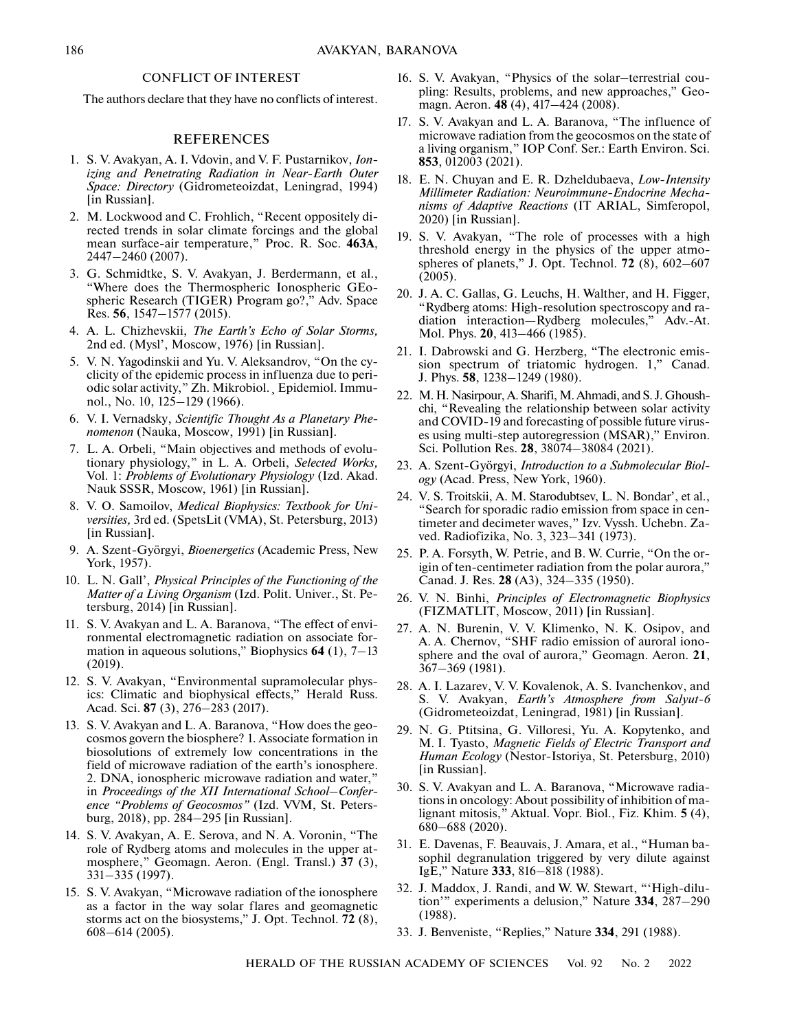## CONFLICT OF INTEREST

The authors declare that they have no conflicts of interest.

## REFERENCES

- 1. S. V. Avakyan, A. I. Vdovin, and V. F. Pustarnikov, *Ionizing and Penetrating Radiation in Near-Earth Outer Space: Directory* (Gidrometeoizdat, Leningrad, 1994) [in Russian].
- 2. M. Lockwood and C. Frohlich, "Recent oppositely directed trends in solar climate forcings and the global mean surface-air temperature," Proc. R. Soc. **463A**, 2447–2460 (2007).
- 3. G. Schmidtke, S. V. Avakyan, J. Berdermann, et al., "Where does the Thermospheric Ionospheric GEospheric Research (TIGER) Program go?," Adv. Space Res. **56**, 1547–1577 (2015).
- 4. A. L. Chizhevskii, *The Earth's Echo of Solar Storms,* 2nd ed. (Mysl', Moscow, 1976) [in Russian].
- 5. V. N. Yagodinskii and Yu. V. Aleksandrov, "On the cyclicity of the epidemic process in influenza due to periodic solar activity," Zh. Mikrobiol.¸ Epidemiol. Immunol., No. 10, 125–129 (1966).
- 6. V. I. Vernadsky, *Scientific Thought As a Planetary Phenomenon* (Nauka, Moscow, 1991) [in Russian].
- 7. L. A. Orbeli, "Main objectives and methods of evolutionary physiology," in L. A. Orbeli, *Selected Works,* Vol. 1: *Problems of Evolutionary Physiology* (Izd. Akad. Nauk SSSR, Moscow, 1961) [in Russian].
- 8. V. O. Samoilov, *Medical Biophysics: Textbook for Universities,* 3rd ed. (SpetsLit (VMA), St. Petersburg, 2013) [in Russian].
- 9. A. Szent-Györgyi, *Bioenergetics* (Academic Press, New York, 1957).
- 10. L. N. Gall', *Physical Principles of the Functioning of the Matter of a Living Organism* (Izd. Polit. Univer., St. Petersburg, 2014) [in Russian].
- 11. S. V. Avakyan and L. A. Baranova, "The effect of environmental electromagnetic radiation on associate formation in aqueous solutions," Biophysics **64** (1), 7–13 (2019).
- 12. S. V. Avakyan, "Environmental supramolecular physics: Climatic and biophysical effects," Herald Russ. Acad. Sci. **87** (3), 276–283 (2017).
- 13. S. V. Avakyan and L. A. Baranova, "How does the geocosmos govern the biosphere? 1. Associate formation in biosolutions of extremely low concentrations in the field of microwave radiation of the earth's ionosphere. 2. DNA, ionospheric microwave radiation and water," in *Proceedings of the XII International School–Conference "Problems of Geocosmos"* (Izd. VVM, St. Petersburg, 2018), pp. 284–295 [in Russian].
- 14. S. V. Avakyan, A. E. Serova, and N. A. Voronin, "The role of Rydberg atoms and molecules in the upper atmosphere," Geomagn. Aeron. (Engl. Transl.) **37** (3), 331–335 (1997).
- 15. S. V. Avakyan, "Microwave radiation of the ionosphere as a factor in the way solar flares and geomagnetic storms act on the biosystems," J. Opt. Technol. **72** (8), 608–614 (2005).
- 16. S. V. Avakyan, "Physics of the solar–terrestrial coupling: Results, problems, and new approaches," Geomagn. Aeron. **48** (4), 417–424 (2008).
- 17. S. V. Avakyan and L. A. Baranova, "The influence of microwave radiation from the geocosmos on the state of a living organism," IOP Conf. Ser.: Earth Environ. Sci. **853**, 012003 (2021).
- 18. E. N. Chuyan and E. R. Dzheldubaeva, *Low-Intensity Millimeter Radiation: Neuroimmune-Endocrine Mechanisms of Adaptive Reactions* (IT ARIAL, Simferopol, 2020) [in Russian].
- 19. S. V. Avakyan, "The role of processes with a high threshold energy in the physics of the upper atmospheres of planets," J. Opt. Technol. **72** (8), 602–607 (2005).
- 20. J. A. C. Gallas, G. Leuchs, H. Walther, and H. Figger, "Rydberg atoms: High-resolution spectroscopy and radiation interaction—Rydberg molecules," Adv.-At. Mol. Phys. **20**, 413–466 (1985).
- 21. I. Dabrowski and G. Herzberg, "The electronic emission spectrum of triatomic hydrogen. 1," Canad. J. Phys. **58**, 1238–1249 (1980).
- 22. M. H. Nasirpour, A. Sharifi, M. Ahmadi, and S. J. Ghoushchi, "Revealing the relationship between solar activity and COVID-19 and forecasting of possible future viruses using multi-step autoregression (MSAR)," Environ. Sci. Pollution Res. **28**, 38074–38084 (2021).
- 23. A. Szent-Györgyi, *Introduction to a Submolecular Biology* (Acad. Press, New York, 1960).
- 24. V. S. Troitskii, A. M. Starodubtsev, L. N. Bondar', et al., "Search for sporadic radio emission from space in centimeter and decimeter waves," Izv. Vyssh. Uchebn. Zaved. Radiofizika, No. 3, 323–341 (1973).
- 25. P. A. Forsyth, W. Petrie, and B. W. Currie, "On the origin of ten-centimeter radiation from the polar aurora," Canad. J. Res. **28** (A3), 324–335 (1950).
- 26. V. N. Binhi, *Principles of Electromagnetic Biophysics* (FIZMATLIT, Moscow, 2011) [in Russian].
- 27. A. N. Burenin, V. V. Klimenko, N. K. Osipov, and A. A. Chernov, "SHF radio emission of auroral ionosphere and the oval of aurora," Geomagn. Aeron. **21**, 367–369 (1981).
- 28. A. I. Lazarev, V. V. Kovalenok, A. S. Ivanchenkov, and S. V. Avakyan, *Earth's Atmosphere from Salyut-6* (Gidrometeoizdat, Leningrad, 1981) [in Russian].
- 29. N. G. Ptitsina, G. Villoresi, Yu. A. Kopytenko, and M. I. Tyasto, *Magnetic Fields of Electric Transport and Human Ecology* (Nestor-Istoriya, St. Petersburg, 2010) [in Russian].
- 30. S. V. Avakyan and L. A. Baranova, "Microwave radiations in oncology: About possibility of inhibition of malignant mitosis," Aktual. Vopr. Biol., Fiz. Khim. **5** (4), 680–688 (2020).
- 31. E. Davenas, F. Beauvais, J. Amara, et al., "Human basophil degranulation triggered by very dilute against IgE," Nature **333**, 816–818 (1988).
- 32. J. Maddox, J. Randi, and W. W. Stewart, "'High-dilution'" experiments a delusion," Nature **334**, 287–290 (1988).
- 33. J. Benveniste, "Replies," Nature **334**, 291 (1988).